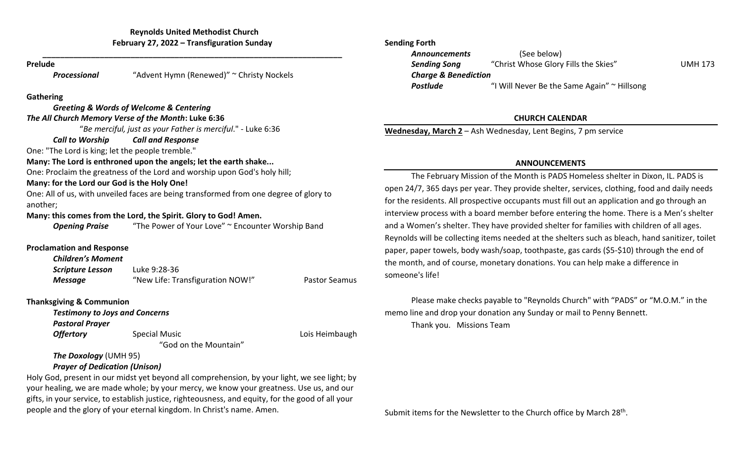**\_\_\_\_\_\_\_\_\_\_\_\_\_\_\_\_\_\_\_\_\_\_\_\_\_\_\_\_\_\_\_\_\_\_\_\_\_\_\_\_\_\_\_\_\_\_\_\_\_\_\_\_\_\_\_\_\_\_\_\_\_\_\_\_\_\_\_\_**

### **Prelude**

*Processional* "Advent Hymn (Renewed)" ~ Christy Nockels

### **Gathering**

|                                                     | <b>Greeting &amp; Words of Welcome &amp; Centering</b>                                |                      |
|-----------------------------------------------------|---------------------------------------------------------------------------------------|----------------------|
| The All Church Memory Verse of the Month: Luke 6:36 |                                                                                       |                      |
|                                                     | "Be merciful, just as your Father is merciful." - Luke 6:36                           |                      |
| <b>Call to Worship Call and Response</b>            |                                                                                       |                      |
| One: "The Lord is king; let the people tremble."    |                                                                                       |                      |
|                                                     | Many: The Lord is enthroned upon the angels; let the earth shake                      |                      |
|                                                     | One: Proclaim the greatness of the Lord and worship upon God's holy hill;             |                      |
| Many: for the Lord our God is the Holy One!         |                                                                                       |                      |
|                                                     | One: All of us, with unveiled faces are being transformed from one degree of glory to |                      |
| another;                                            |                                                                                       |                      |
|                                                     | Many: this comes from the Lord, the Spirit. Glory to God! Amen.                       |                      |
| <b>Opening Praise</b>                               | "The Power of Your Love" ~ Encounter Worship Band                                     |                      |
| <b>Proclamation and Response</b>                    |                                                                                       |                      |
| <b>Children's Moment</b>                            |                                                                                       |                      |
| <b>Scripture Lesson</b> Luke 9:28-36                |                                                                                       |                      |
| <b>Message</b>                                      | "New Life: Transfiguration NOW!"                                                      | <b>Pastor Seamus</b> |
| <b>Thanksgiving &amp; Communion</b>                 |                                                                                       |                      |
| <b>Testimony to Joys and Concerns</b>               |                                                                                       |                      |
| <b>Pastoral Prayer</b>                              |                                                                                       |                      |
| <b>Offertory</b>                                    | <b>Special Music</b>                                                                  | Lois Heimbaugh       |
|                                                     | "God on the Mountain"                                                                 |                      |
| <b>The Doxology (UMH 95)</b>                        |                                                                                       |                      |
| <b>Prayer of Dedication (Unison)</b>                |                                                                                       |                      |

Holy God, present in our midst yet beyond all comprehension, by your light, we see light; by your healing, we are made whole; by your mercy, we know your greatness. Use us, and our gifts, in your service, to establish justice, righteousness, and equity, for the good of all your people and the glory of your eternal kingdom. In Christ's name. Amen.

## **Sending Forth**

| <b>Announcements</b>            | (See below)                                 |                |  |  |
|---------------------------------|---------------------------------------------|----------------|--|--|
| <b>Sending Song</b>             | "Christ Whose Glory Fills the Skies"        | <b>UMH 173</b> |  |  |
| <b>Charge &amp; Benediction</b> |                                             |                |  |  |
| <b>Postlude</b>                 | "I Will Never Be the Same Again" ~ Hillsong |                |  |  |

# **CHURCH CALENDAR**

**Wednesday, March 2** – Ash Wednesday, Lent Begins, 7 pm service

## **ANNOUNCEMENTS**

The February Mission of the Month is PADS Homeless shelter in Dixon, IL. PADS is open 24/7, 365 days per year. They provide shelter, services, clothing, food and daily needs for the residents. All prospective occupants must fill out an application and go through an interview process with a board member before entering the home. There is a Men's shelter and a Women's shelter. They have provided shelter for families with children of all ages. Reynolds will be collecting items needed at the shelters such as bleach, hand sanitizer, toilet paper, paper towels, body wash/soap, toothpaste, gas cards (\$5-\$10) through the end of the month, and of course, monetary donations. You can help make a difference in someone's life!

Please make checks payable to "Reynolds Church" with "PADS" or "M.O.M." in the memo line and drop your donation any Sunday or mail to Penny Bennett. Thank you. Missions Team

Submit items for the Newsletter to the Church office by March 28<sup>th</sup>.